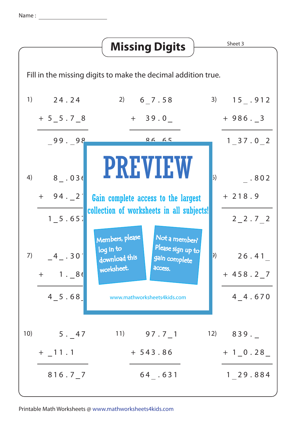